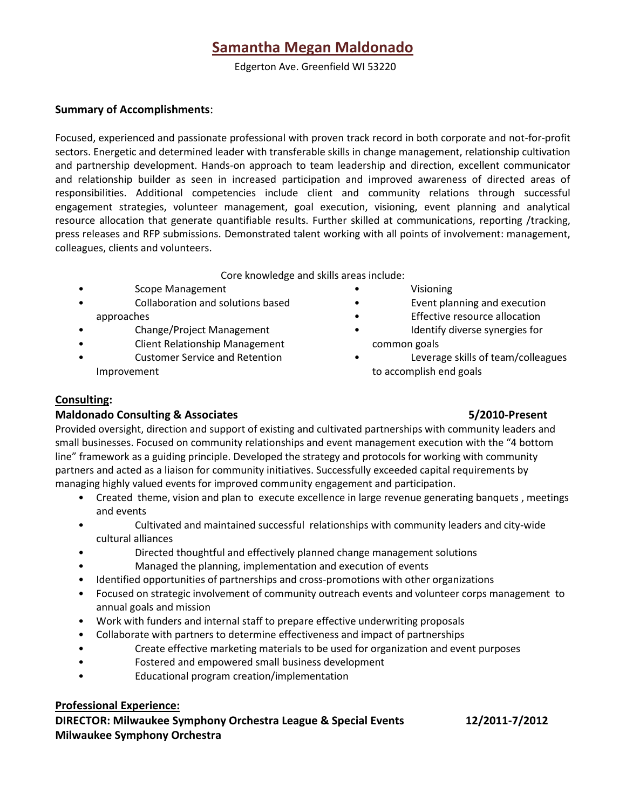# **Samantha Megan Maldonado**

Edgerton Ave. Greenfield WI 53220

### **Summary of Accomplishments**:

Focused, experienced and passionate professional with proven track record in both corporate and not-for-profit sectors. Energetic and determined leader with transferable skills in change management, relationship cultivation and partnership development. Hands-on approach to team leadership and direction, excellent communicator and relationship builder as seen in increased participation and improved awareness of directed areas of responsibilities. Additional competencies include client and community relations through successful engagement strategies, volunteer management, goal execution, visioning, event planning and analytical resource allocation that generate quantifiable results. Further skilled at communications, reporting /tracking, press releases and RFP submissions. Demonstrated talent working with all points of involvement: management, colleagues, clients and volunteers.

Core knowledge and skills areas include:

- Scope Management
- Collaboration and solutions based approaches
- Change/Project Management
- Client Relationship Management
- Customer Service and Retention Improvement
- Visioning
- Event planning and execution
- **Effective resource allocation**
- Identify diverse synergies for common goals
- Leverage skills of team/colleagues to accomplish end goals

### **Consulting:**

### **Maldonado Consulting & Associates 5/2010-Present**

Provided oversight, direction and support of existing and cultivated partnerships with community leaders and small businesses. Focused on community relationships and event management execution with the "4 bottom line" framework as a guiding principle. Developed the strategy and protocols for working with community partners and acted as a liaison for community initiatives. Successfully exceeded capital requirements by managing highly valued events for improved community engagement and participation.

- Created theme, vision and plan to execute excellence in large revenue generating banquets , meetings and events
- Cultivated and maintained successful relationships with community leaders and city-wide cultural alliances
- Directed thoughtful and effectively planned change management solutions
- Managed the planning, implementation and execution of events
- Identified opportunities of partnerships and cross-promotions with other organizations
- Focused on strategic involvement of community outreach events and volunteer corps management to annual goals and mission
- Work with funders and internal staff to prepare effective underwriting proposals
- Collaborate with partners to determine effectiveness and impact of partnerships
- Create effective marketing materials to be used for organization and event purposes
- Fostered and empowered small business development
- Educational program creation/implementation

## **Professional Experience:**

**DIRECTOR: Milwaukee Symphony Orchestra League & Special Events 12/2011-7/2012 Milwaukee Symphony Orchestra**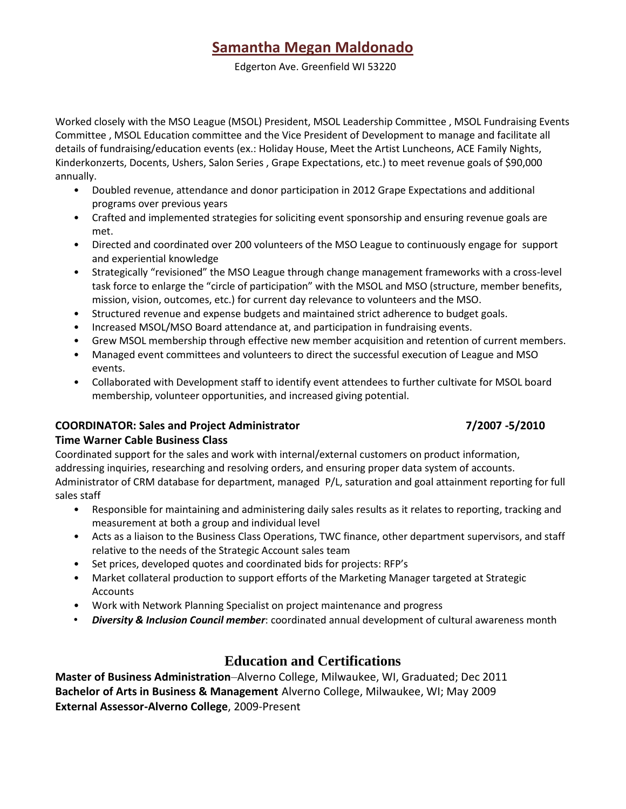# **Samantha Megan Maldonado**

Edgerton Ave. Greenfield WI 53220

Worked closely with the MSO League (MSOL) President, MSOL Leadership Committee , MSOL Fundraising Events Committee , MSOL Education committee and the Vice President of Development to manage and facilitate all details of fundraising/education events (ex.: Holiday House, Meet the Artist Luncheons, ACE Family Nights, Kinderkonzerts, Docents, Ushers, Salon Series , Grape Expectations, etc.) to meet revenue goals of \$90,000 annually.

- Doubled revenue, attendance and donor participation in 2012 Grape Expectations and additional programs over previous years
- Crafted and implemented strategies for soliciting event sponsorship and ensuring revenue goals are met.
- Directed and coordinated over 200 volunteers of the MSO League to continuously engage for support and experiential knowledge
- Strategically "revisioned" the MSO League through change management frameworks with a cross-level task force to enlarge the "circle of participation" with the MSOL and MSO (structure, member benefits, mission, vision, outcomes, etc.) for current day relevance to volunteers and the MSO.
- Structured revenue and expense budgets and maintained strict adherence to budget goals.
- Increased MSOL/MSO Board attendance at, and participation in fundraising events.
- Grew MSOL membership through effective new member acquisition and retention of current members.
- Managed event committees and volunteers to direct the successful execution of League and MSO events.
- Collaborated with Development staff to identify event attendees to further cultivate for MSOL board membership, volunteer opportunities, and increased giving potential.

## **COORDINATOR: Sales and Project Administrator 7/2007 -5/2010**

## **Time Warner Cable Business Class**

Coordinated support for the sales and work with internal/external customers on product information, addressing inquiries, researching and resolving orders, and ensuring proper data system of accounts. Administrator of CRM database for department, managed P/L, saturation and goal attainment reporting for full sales staff

- Responsible for maintaining and administering daily sales results as it relates to reporting, tracking and measurement at both a group and individual level
- Acts as a liaison to the Business Class Operations, TWC finance, other department supervisors, and staff relative to the needs of the Strategic Account sales team
- Set prices, developed quotes and coordinated bids for projects: RFP's
- Market collateral production to support efforts of the Marketing Manager targeted at Strategic Accounts
- Work with Network Planning Specialist on project maintenance and progress
- *Diversity & Inclusion Council member*: coordinated annual development of cultural awareness month

## **Education and Certifications**

**Master of Business Administration**–Alverno College, Milwaukee, WI, Graduated; Dec 2011 **Bachelor of Arts in Business & Management** Alverno College, Milwaukee, WI; May 2009 **External Assessor-Alverno College**, 2009-Present